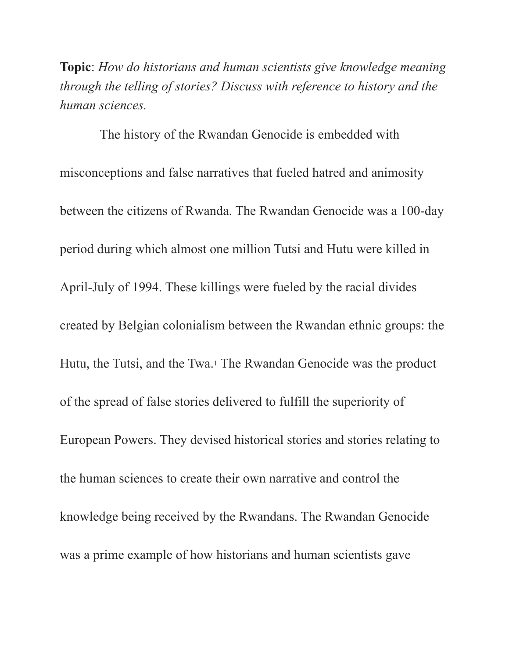**Topic**: *How do historians and human scientists give knowledge meaning through the telling of stories? Discuss with reference to history and the human sciences.*

The history of the Rwandan Genocide is embedded with misconceptions and false narratives that fueled hatred and animosity between the citizens of Rwanda. The Rwandan Genocide was a 100-day period during which almost one million Tutsi and Hutu were killed in April-July of 1994. These killings were fueled by the racial divides created by Belgian colonialism between the Rwandan ethnic groups: the Hutu, the Tutsi, and the Twa.1 The Rwandan Genocide was the product of the spread of false stories delivered to fulfill the superiority of European Powers. They devised historical stories and stories relating to the human sciences to create their own narrative and control the knowledge being received by the Rwandans. The Rwandan Genocide was a prime example of how historians and human scientists gave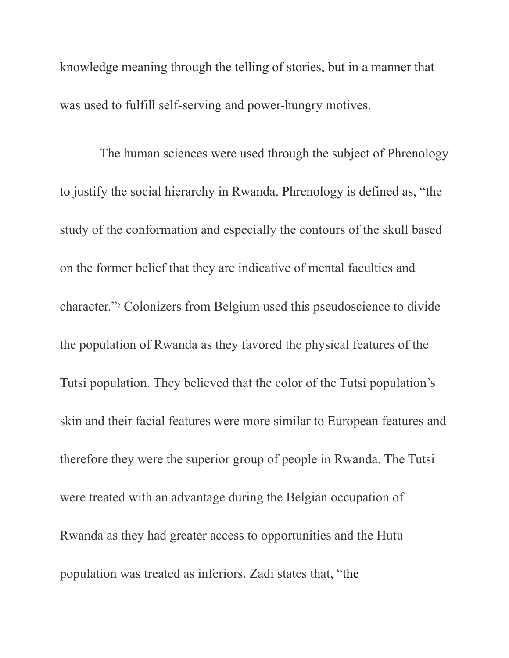knowledge meaning through the telling of stories, but in a manner that was used to fulfill self-serving and power-hungry motives.

The human sciences were used through the subject of Phrenology to justify the social hierarchy in Rwanda. Phrenology is defined as, "the study of the conformation and especially the contours of the skull based on the former belief that they are indicative of mental faculties and character."2 Colonizers from Belgium used this pseudoscience to divide the population of Rwanda as they favored the physical features of the Tutsi population. They believed that the color of the Tutsi population's skin and their facial features were more similar to European features and therefore they were the superior group of people in Rwanda. The Tutsi were treated with an advantage during the Belgian occupation of Rwanda as they had greater access to opportunities and the Hutu population was treated as inferiors. Zadi states that, "the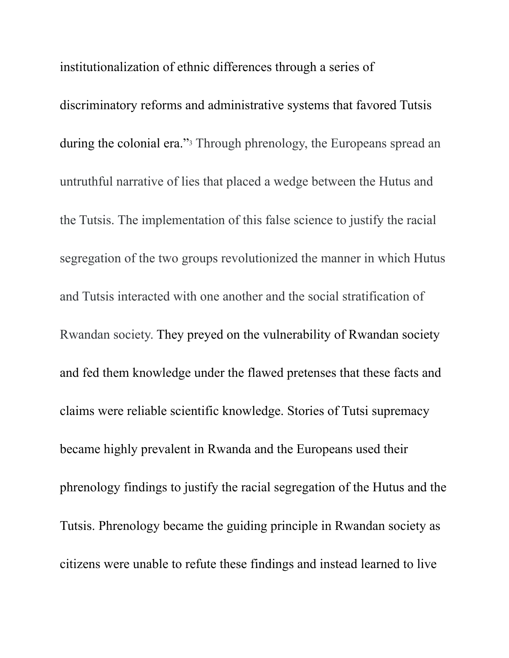institutionalization of ethnic differences through a series of discriminatory reforms and administrative systems that favored Tutsis during the colonial era."3 Through phrenology, the Europeans spread an untruthful narrative of lies that placed a wedge between the Hutus and the Tutsis. The implementation of this false science to justify the racial segregation of the two groups revolutionized the manner in which Hutus and Tutsis interacted with one another and the social stratification of Rwandan society. They preyed on the vulnerability of Rwandan society and fed them knowledge under the flawed pretenses that these facts and claims were reliable scientific knowledge. Stories of Tutsi supremacy became highly prevalent in Rwanda and the Europeans used their phrenology findings to justify the racial segregation of the Hutus and the Tutsis. Phrenology became the guiding principle in Rwandan society as citizens were unable to refute these findings and instead learned to live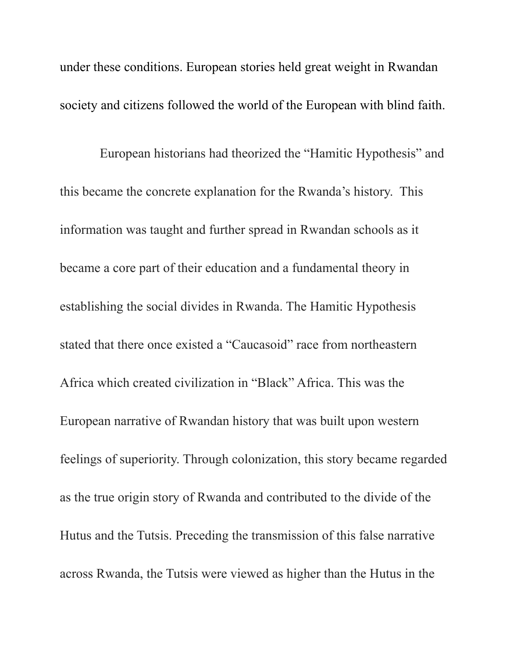under these conditions. European stories held great weight in Rwandan society and citizens followed the world of the European with blind faith.

European historians had theorized the "Hamitic Hypothesis" and this became the concrete explanation for the Rwanda's history. This information was taught and further spread in Rwandan schools as it became a core part of their education and a fundamental theory in establishing the social divides in Rwanda. The Hamitic Hypothesis stated that there once existed a "Caucasoid" race from northeastern Africa which created civilization in "Black" Africa. This was the European narrative of Rwandan history that was built upon western feelings of superiority. Through colonization, this story became regarded as the true origin story of Rwanda and contributed to the divide of the Hutus and the Tutsis. Preceding the transmission of this false narrative across Rwanda, the Tutsis were viewed as higher than the Hutus in the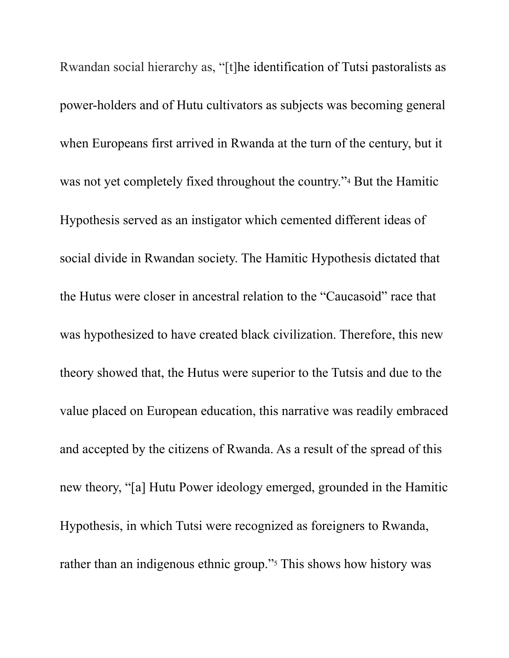Rwandan social hierarchy as, "[t]he identification of Tutsi pastoralists as power-holders and of Hutu cultivators as subjects was becoming general when Europeans first arrived in Rwanda at the turn of the century, but it was not yet completely fixed throughout the country."4 But the Hamitic Hypothesis served as an instigator which cemented different ideas of social divide in Rwandan society. The Hamitic Hypothesis dictated that the Hutus were closer in ancestral relation to the "Caucasoid" race that was hypothesized to have created black civilization. Therefore, this new theory showed that, the Hutus were superior to the Tutsis and due to the value placed on European education, this narrative was readily embraced and accepted by the citizens of Rwanda. As a result of the spread of this new theory, "[a] Hutu Power ideology emerged, grounded in the Hamitic Hypothesis, in which Tutsi were recognized as foreigners to Rwanda, rather than an indigenous ethnic group."<sup>5</sup> This shows how history was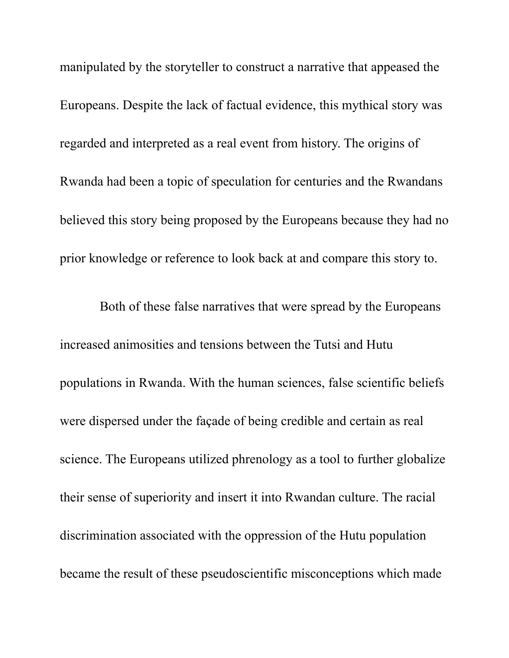manipulated by the storyteller to construct a narrative that appeased the Europeans. Despite the lack of factual evidence, this mythical story was regarded and interpreted as a real event from history. The origins of Rwanda had been a topic of speculation for centuries and the Rwandans believed this story being proposed by the Europeans because they had no prior knowledge or reference to look back at and compare this story to.

Both of these false narratives that were spread by the Europeans increased animosities and tensions between the Tutsi and Hutu populations in Rwanda. With the human sciences, false scientific beliefs were dispersed under the façade of being credible and certain as real science. The Europeans utilized phrenology as a tool to further globalize their sense of superiority and insert it into Rwandan culture. The racial discrimination associated with the oppression of the Hutu population became the result of these pseudoscientific misconceptions which made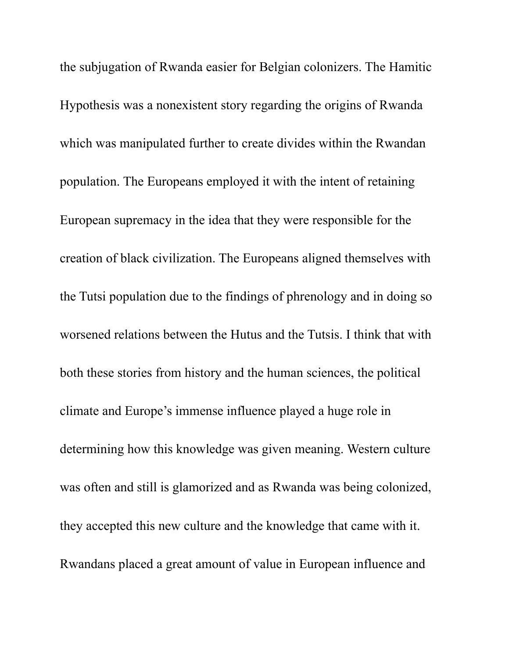the subjugation of Rwanda easier for Belgian colonizers. The Hamitic Hypothesis was a nonexistent story regarding the origins of Rwanda which was manipulated further to create divides within the Rwandan population. The Europeans employed it with the intent of retaining European supremacy in the idea that they were responsible for the creation of black civilization. The Europeans aligned themselves with the Tutsi population due to the findings of phrenology and in doing so worsened relations between the Hutus and the Tutsis. I think that with both these stories from history and the human sciences, the political climate and Europe's immense influence played a huge role in determining how this knowledge was given meaning. Western culture was often and still is glamorized and as Rwanda was being colonized, they accepted this new culture and the knowledge that came with it. Rwandans placed a great amount of value in European influence and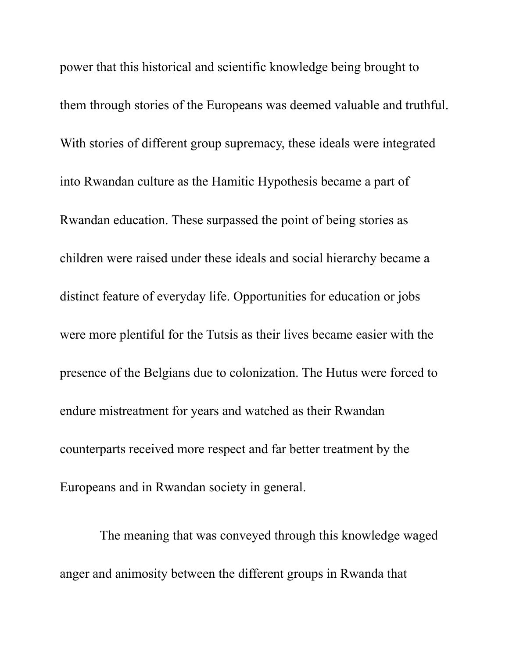power that this historical and scientific knowledge being brought to them through stories of the Europeans was deemed valuable and truthful. With stories of different group supremacy, these ideals were integrated into Rwandan culture as the Hamitic Hypothesis became a part of Rwandan education. These surpassed the point of being stories as children were raised under these ideals and social hierarchy became a distinct feature of everyday life. Opportunities for education or jobs were more plentiful for the Tutsis as their lives became easier with the presence of the Belgians due to colonization. The Hutus were forced to endure mistreatment for years and watched as their Rwandan counterparts received more respect and far better treatment by the Europeans and in Rwandan society in general.

The meaning that was conveyed through this knowledge waged anger and animosity between the different groups in Rwanda that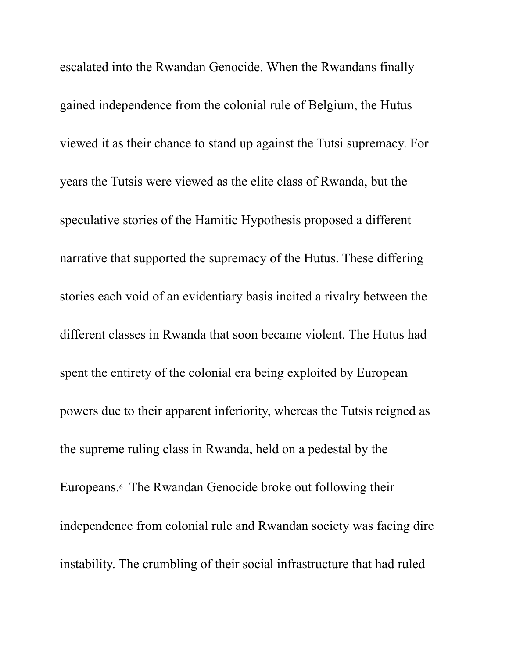escalated into the Rwandan Genocide. When the Rwandans finally gained independence from the colonial rule of Belgium, the Hutus viewed it as their chance to stand up against the Tutsi supremacy. For years the Tutsis were viewed as the elite class of Rwanda, but the speculative stories of the Hamitic Hypothesis proposed a different narrative that supported the supremacy of the Hutus. These differing stories each void of an evidentiary basis incited a rivalry between the different classes in Rwanda that soon became violent. The Hutus had spent the entirety of the colonial era being exploited by European powers due to their apparent inferiority, whereas the Tutsis reigned as the supreme ruling class in Rwanda, held on a pedestal by the Europeans.6 The Rwandan Genocide broke out following their independence from colonial rule and Rwandan society was facing dire instability. The crumbling of their social infrastructure that had ruled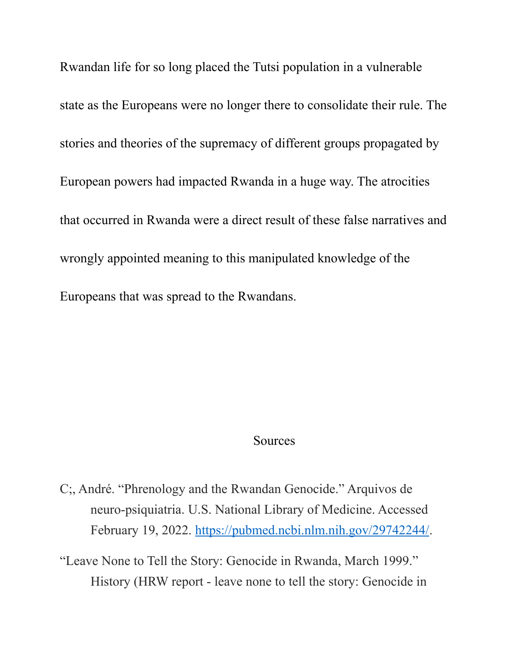Rwandan life for so long placed the Tutsi population in a vulnerable state as the Europeans were no longer there to consolidate their rule. The stories and theories of the supremacy of different groups propagated by European powers had impacted Rwanda in a huge way. The atrocities that occurred in Rwanda were a direct result of these false narratives and wrongly appointed meaning to this manipulated knowledge of the Europeans that was spread to the Rwandans.

## **Sources**

C;, André. "Phrenology and the Rwandan Genocide." Arquivos de neuro-psiquiatria. U.S. National Library of Medicine. Accessed February 19, 2022. [https://pubmed.ncbi.nlm.nih.gov/29742244/.](https://pubmed.ncbi.nlm.nih.gov/29742244/)

"Leave None to Tell the Story: Genocide in Rwanda, March 1999." History (HRW report - leave none to tell the story: Genocide in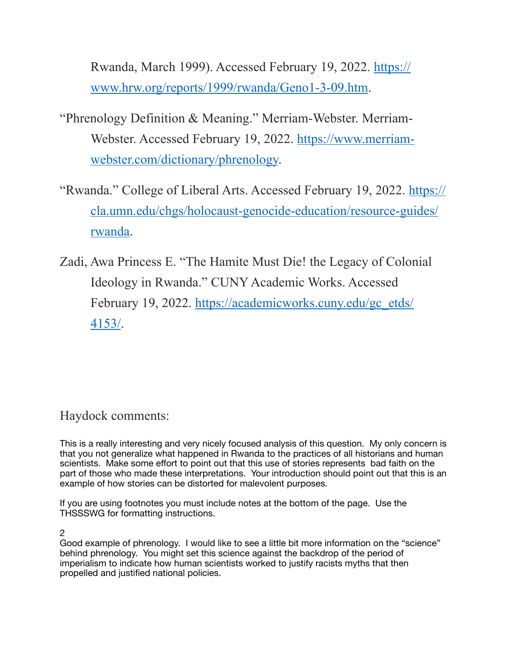Rwanda, March 1999). Accessed February 19, 2022. [https://](https://www.hrw.org/reports/1999/rwanda/Geno1-3-09.htm) [www.hrw.org/reports/1999/rwanda/Geno1-3-09.htm](https://www.hrw.org/reports/1999/rwanda/Geno1-3-09.htm).

- "Phrenology Definition & Meaning." Merriam-Webster. Merriam-Webster. Accessed February 19, 2022. [https://www.merriam](https://www.merriam-webster.com/dictionary/phrenology)[webster.com/dictionary/phrenology.](https://www.merriam-webster.com/dictionary/phrenology)
- "Rwanda." College of Liberal Arts. Accessed February 19, 2022. [https://](https://cla.umn.edu/chgs/holocaust-genocide-education/resource-guides/rwanda) [cla.umn.edu/chgs/holocaust-genocide-education/resource-guides/](https://cla.umn.edu/chgs/holocaust-genocide-education/resource-guides/rwanda) [rwanda](https://cla.umn.edu/chgs/holocaust-genocide-education/resource-guides/rwanda).
- Zadi, Awa Princess E. "The Hamite Must Die! the Legacy of Colonial Ideology in Rwanda." CUNY Academic Works. Accessed February 19, 2022. [https://academicworks.cuny.edu/gc\\_etds/](https://academicworks.cuny.edu/gc_etds/4153/) [4153/](https://academicworks.cuny.edu/gc_etds/4153/).

## Haydock comments:

This is a really interesting and very nicely focused analysis of this question. My only concern is that you not generalize what happened in Rwanda to the practices of all historians and human scientists. Make some effort to point out that this use of stories represents bad faith on the part of those who made these interpretations. Your introduction should point out that this is an example of how stories can be distorted for malevolent purposes.

If you are using footnotes you must include notes at the bottom of the page. Use the THSSSWG for formatting instructions.

2

Good example of phrenology. I would like to see a little bit more information on the "science" behind phrenology. You might set this science against the backdrop of the period of imperialism to indicate how human scientists worked to justify racists myths that then propelled and justified national policies.